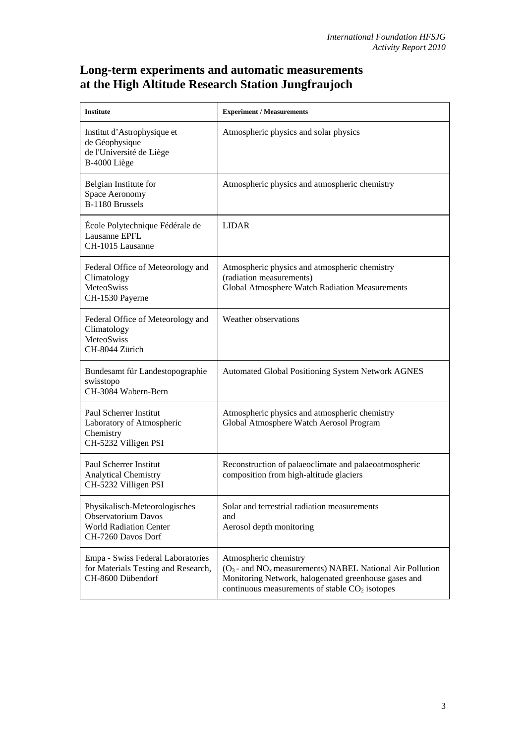## **Long-term experiments and automatic measurements at the High Altitude Research Station Jungfraujoch**

| <b>Institute</b>                                                                                                   | <b>Experiment / Measurements</b>                                                                                                                                                                    |
|--------------------------------------------------------------------------------------------------------------------|-----------------------------------------------------------------------------------------------------------------------------------------------------------------------------------------------------|
| Institut d'Astrophysique et<br>de Géophysique<br>de l'Université de Liège<br>B-4000 Liège                          | Atmospheric physics and solar physics                                                                                                                                                               |
| Belgian Institute for<br>Space Aeronomy<br>B-1180 Brussels                                                         | Atmospheric physics and atmospheric chemistry                                                                                                                                                       |
| École Polytechnique Fédérale de<br>Lausanne EPFL<br>CH-1015 Lausanne                                               | <b>LIDAR</b>                                                                                                                                                                                        |
| Federal Office of Meteorology and<br>Climatology<br>MeteoSwiss<br>CH-1530 Payerne                                  | Atmospheric physics and atmospheric chemistry<br>(radiation measurements)<br>Global Atmosphere Watch Radiation Measurements                                                                         |
| Federal Office of Meteorology and<br>Climatology<br>MeteoSwiss<br>CH-8044 Zürich                                   | Weather observations                                                                                                                                                                                |
| Bundesamt für Landestopographie<br>swisstopo<br>CH-3084 Wabern-Bern                                                | <b>Automated Global Positioning System Network AGNES</b>                                                                                                                                            |
| Paul Scherrer Institut<br>Laboratory of Atmospheric<br>Chemistry<br>CH-5232 Villigen PSI                           | Atmospheric physics and atmospheric chemistry<br>Global Atmosphere Watch Aerosol Program                                                                                                            |
| Paul Scherrer Institut<br><b>Analytical Chemistry</b><br>CH-5232 Villigen PSI                                      | Reconstruction of palaeoclimate and palaeoatmospheric<br>composition from high-altitude glaciers                                                                                                    |
| Physikalisch-Meteorologisches<br><b>Observatorium Davos</b><br><b>World Radiation Center</b><br>CH-7260 Davos Dorf | Solar and terrestrial radiation measurements<br>and<br>Aerosol depth monitoring                                                                                                                     |
| Empa - Swiss Federal Laboratories<br>for Materials Testing and Research,<br>CH-8600 Dübendorf                      | Atmospheric chemistry<br>$(O_3$ - and $NO_x$ measurements) NABEL National Air Pollution<br>Monitoring Network, halogenated greenhouse gases and<br>continuous measurements of stable $CO2$ isotopes |